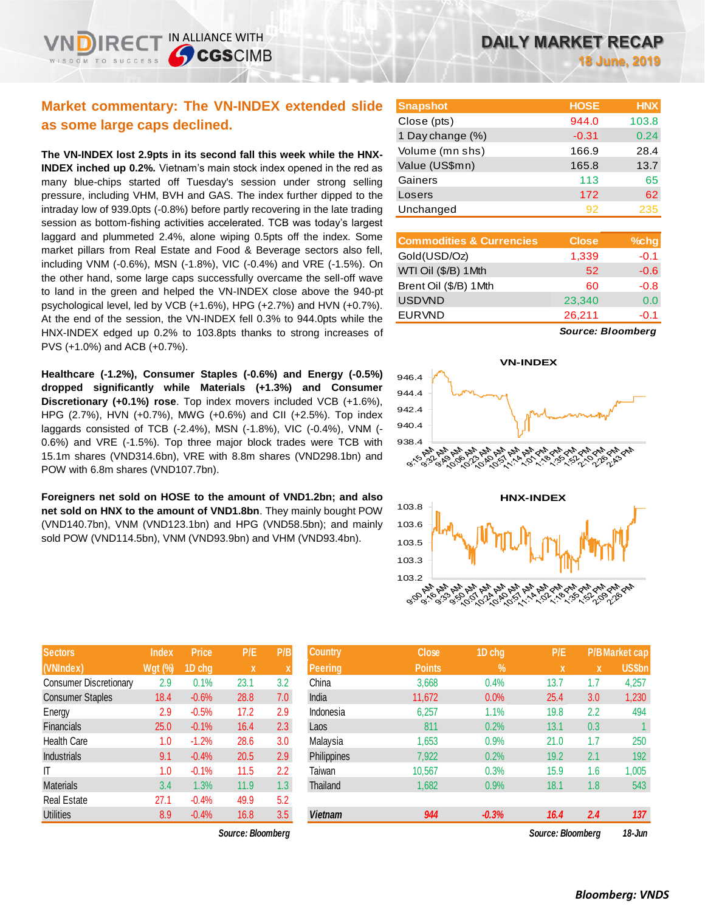| <b>DAILY MARKET RECAP</b> |  |
|---------------------------|--|
|                           |  |

**18 June, 2019**

# **Market commentary: The VN-INDEX extended slide as some large caps declined.**

IN ALLIANCE WITH

**CGSCIMB** 

**The VN-INDEX lost 2.9pts in its second fall this week while the HNX-INDEX inched up 0.2%.** Vietnam's main stock index opened in the red as many blue-chips started off Tuesday's session under strong selling pressure, including VHM, BVH and GAS. The index further dipped to the intraday low of 939.0pts (-0.8%) before partly recovering in the late trading session as bottom-fishing activities accelerated. TCB was today's largest laggard and plummeted 2.4%, alone wiping 0.5pts off the index. Some market pillars from Real Estate and Food & Beverage sectors also fell, including VNM (-0.6%), MSN (-1.8%), VIC (-0.4%) and VRE (-1.5%). On the other hand, some large caps successfully overcame the sell-off wave to land in the green and helped the VN-INDEX close above the 940-pt psychological level, led by VCB (+1.6%), HPG (+2.7%) and HVN (+0.7%). At the end of the session, the VN-INDEX fell 0.3% to 944.0pts while the HNX-INDEX edged up 0.2% to 103.8pts thanks to strong increases of PVS (+1.0%) and ACB (+0.7%).

**Healthcare (-1.2%), Consumer Staples (-0.6%) and Energy (-0.5%) dropped significantly while Materials (+1.3%) and Consumer Discretionary (+0.1%) rose**. Top index movers included VCB (+1.6%), HPG (2.7%), HVN (+0.7%), MWG (+0.6%) and CII (+2.5%). Top index laggards consisted of TCB (-2.4%), MSN (-1.8%), VIC (-0.4%), VNM (- 0.6%) and VRE (-1.5%). Top three major block trades were TCB with 15.1m shares (VND314.6bn), VRE with 8.8m shares (VND298.1bn) and POW with 6.8m shares (VND107.7bn).

**Foreigners net sold on HOSE to the amount of VND1.2bn; and also net sold on HNX to the amount of VND1.8bn**. They mainly bought POW (VND140.7bn), VNM (VND123.1bn) and HPG (VND58.5bn); and mainly sold POW (VND114.5bn), VNM (VND93.9bn) and VHM (VND93.4bn).

| <b>Snapshot</b>                     | <b>HOSE</b>  | <b>HNX</b> |
|-------------------------------------|--------------|------------|
| Close (pts)                         | 944.0        | 103.8      |
| 1 Day change (%)                    | $-0.31$      | 0.24       |
| Volume (mn shs)                     | 166.9        | 28.4       |
| Value (US\$mn)                      | 165.8        | 13.7       |
| Gainers                             | 113          | 65         |
| Losers                              | 172          | 62         |
| Unchanged                           | 92           | 235        |
|                                     |              |            |
| <b>Commodities &amp; Currencies</b> | <b>Close</b> | %cha       |

| <b>Commodities &amp; Currencies</b> | Close  | %chg   |
|-------------------------------------|--------|--------|
| Gold(USD/Oz)                        | 1,339  | $-0.1$ |
| WTI Oil (\$/B) 1 Mth                | 52     | $-0.6$ |
| Brent Oil (\$/B) 1Mth               | 60     | $-0.8$ |
| <b>USDVND</b>                       | 23,340 | 0.0    |
| <b>EURVND</b>                       | 26,211 | $-0.1$ |
|                                     |        |        |

*Source: Bloomberg*





| <b>Sectors</b>                | <b>Index</b>   | Price   | P/E  | P/B |
|-------------------------------|----------------|---------|------|-----|
| (VNIndex)                     | <b>Wgt (%)</b> | 1D chg  | X    | X   |
| <b>Consumer Discretionary</b> | 2.9            | 0.1%    | 23.1 | 3.2 |
| <b>Consumer Staples</b>       | 18.4           | $-0.6%$ | 28.8 | 7.0 |
| Energy                        | 2.9            | $-0.5%$ | 17.2 | 2.9 |
| <b>Financials</b>             | 25.0           | $-0.1%$ | 16.4 | 2.3 |
| <b>Health Care</b>            | 1.0            | $-1.2%$ | 28.6 | 3.0 |
| <b>Industrials</b>            | 9.1            | $-0.4%$ | 20.5 | 2.9 |
| IT                            | 1.0            | $-0.1%$ | 11.5 | 2.2 |
| <b>Materials</b>              | 3.4            | 1.3%    | 11.9 | 1.3 |
| <b>Real Estate</b>            | 27.1           | $-0.4%$ | 49.9 | 5.2 |
| <b>Utilities</b>              | 8.9            | $-0.4%$ | 16.8 | 3.5 |

*Source: Bloomberg Source: Bloomberg 18-Jun*

| Sectors                 | Index          | <b>Price</b> | P/E               | P/B              | 'Country,      | Close         | 1D chg     | P/E               |     | P/B Market cap |
|-------------------------|----------------|--------------|-------------------|------------------|----------------|---------------|------------|-------------------|-----|----------------|
| (VNIndex)               | <b>Wgt (%)</b> | 1D chg       | $\mathbf{x}$      |                  | Peering,       | <b>Points</b> | $\sqrt{2}$ | X                 | X   | US\$bn         |
| Consumer Discretionary  | 2.9            | 0.1%         | 23.1              | 3.2              | China          | 3,668         | 0.4%       | 13.7              | 1.7 | 4,257          |
| <b>Consumer Staples</b> | 18.4           | $-0.6%$      | 28.8              | 7.0              | India          | 11,672        | 0.0%       | 25.4              | 3.0 | 1,230          |
| Energy                  | 2.9            | $-0.5%$      | 17.2              | 2.9              | Indonesia      | 6,257         | 1.1%       | 19.8              | 2.2 | 494            |
| Financials              | 25.0           | $-0.1%$      | 16.4              | 2.3              | Laos           | 811           | 0.2%       | 13.1              | 0.3 |                |
| Health Care             | 1.0            | $-1.2%$      | 28.6              | 3.0              | Malaysia       | 1,653         | 0.9%       | 21.0              | 1.7 | 250            |
| Industrials             | 9.1            | $-0.4%$      | 20.5              | 2.9              | Philippines    | 7,922         | 0.2%       | 19.2              | 2.1 | 192            |
|                         | 1.0            | $-0.1%$      | 11.5              | 2.2              | Taiwan         | 10,567        | 0.3%       | 15.9              | 1.6 | 1,005          |
| Materials               | 3.4            | 1.3%         | 11.9              | 1.3 <sub>2</sub> | Thailand       | 1,682         | 0.9%       | 18.1              | 1.8 | 543            |
| Real Estate             | 27.1           | $-0.4%$      | 49.9              | 5.2              |                |               |            |                   |     |                |
| Utilities               | 8.9            | $-0.4%$      | 16.8              | 3.5              | <b>Vietnam</b> | 944           | $-0.3%$    | 16.4              | 2.4 | 137            |
|                         |                |              | Source: Bloomberg |                  |                |               |            | Source: Bloomberg |     | $18.$ $\mu$ m  |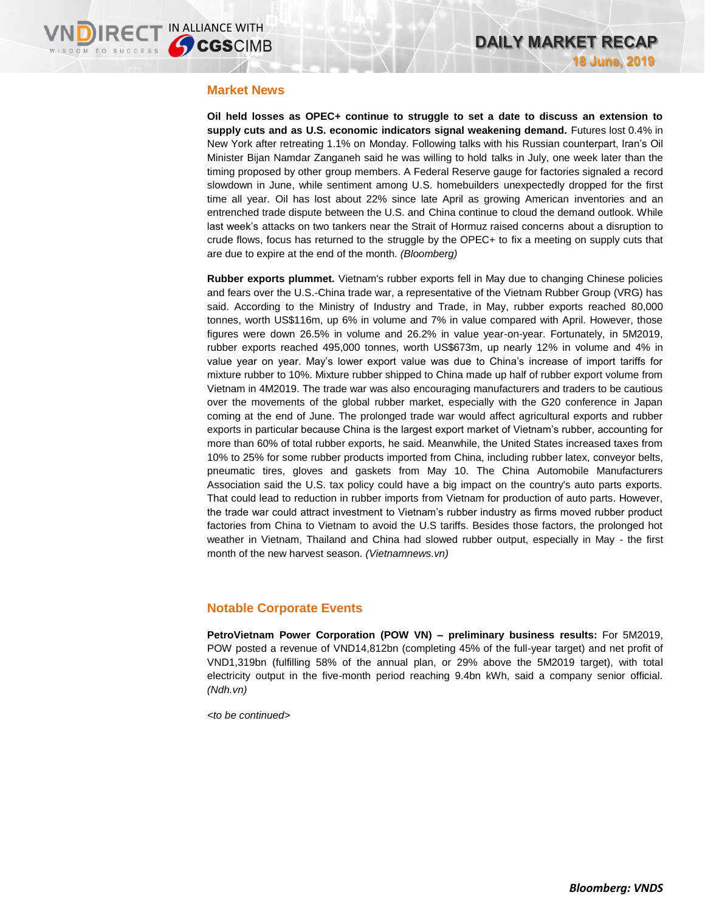### **Market News**

**Oil held losses as OPEC+ continue to struggle to set a date to discuss an extension to supply cuts and as U.S. economic indicators signal weakening demand.** Futures lost 0.4% in New York after retreating 1.1% on Monday. Following talks with his Russian counterpart, Iran's Oil Minister Bijan Namdar Zanganeh said he was willing to hold talks in July, one week later than the timing proposed by other group members. A Federal Reserve gauge for factories signaled a record slowdown in June, while sentiment among U.S. homebuilders unexpectedly dropped for the first time all year. Oil has lost about 22% since late April as growing American inventories and an entrenched trade dispute between the U.S. and China continue to cloud the demand outlook. While last week's attacks on two tankers near the Strait of Hormuz raised concerns about a disruption to crude flows, focus has returned to the struggle by the OPEC+ to fix a meeting on supply cuts that are due to expire at the end of the month. *(Bloomberg)*

**Rubber exports plummet.** Vietnam's rubber exports fell in May due to changing Chinese policies and fears over the U.S.-China trade war, a representative of the Vietnam Rubber Group (VRG) has said. According to the Ministry of Industry and Trade, in May, rubber exports reached 80,000 tonnes, worth US\$116m, up 6% in volume and 7% in value compared with April. However, those figures were down 26.5% in volume and 26.2% in value year-on-year. Fortunately, in 5M2019, rubber exports reached 495,000 tonnes, worth US\$673m, up nearly 12% in volume and 4% in value year on year. May's lower export value was due to China's increase of import tariffs for mixture rubber to 10%. Mixture rubber shipped to China made up half of rubber export volume from Vietnam in 4M2019. The trade war was also encouraging manufacturers and traders to be cautious over the movements of the global rubber market, especially with the G20 conference in Japan coming at the end of June. The prolonged trade war would affect agricultural exports and rubber exports in particular because China is the largest export market of Vietnam's rubber, accounting for more than 60% of total rubber exports, he said. Meanwhile, the United States increased taxes from 10% to 25% for some rubber products imported from China, including rubber latex, conveyor belts, pneumatic tires, gloves and gaskets from May 10. The China Automobile Manufacturers Association said the U.S. tax policy could have a big impact on the country's auto parts exports. That could lead to reduction in rubber imports from Vietnam for production of auto parts. However, the trade war could attract investment to Vietnam's rubber industry as firms moved rubber product factories from China to Vietnam to avoid the U.S tariffs. Besides those factors, the prolonged hot weather in Vietnam, Thailand and China had slowed rubber output, especially in May - the first month of the new harvest season. *(Vietnamnews.vn)*

## **Notable Corporate Events**

**PetroVietnam Power Corporation (POW VN) – preliminary business results:** For 5M2019, POW posted a revenue of VND14,812bn (completing 45% of the full-year target) and net profit of VND1,319bn (fulfilling 58% of the annual plan, or 29% above the 5M2019 target), with total electricity output in the five-month period reaching 9.4bn kWh, said a company senior official. *(Ndh.vn)*

*<to be continued>*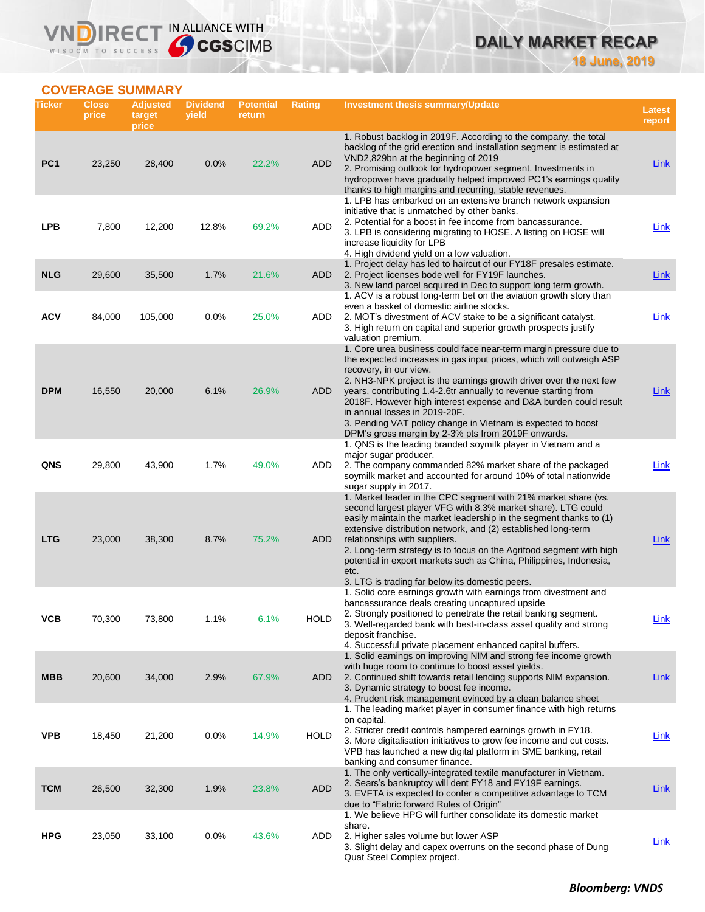# **DAILY MARKET RECAP 18 June, 2019**

## **COVERAGE SUMMARY**

WISDOM TO SUCCESS

VND

IRECT IN ALLIANCE WITH

| Ticker          | <b>Close</b><br>price | <b>Adjusted</b><br>target<br>price | <b>Dividend</b><br>yield | <b>Potential</b><br>return | Rating      | <b>Investment thesis summary/Update</b>                                                                                                                                                                                                                                                                                                                                                                                                                                                                                                | <b>Latest</b><br>report |
|-----------------|-----------------------|------------------------------------|--------------------------|----------------------------|-------------|----------------------------------------------------------------------------------------------------------------------------------------------------------------------------------------------------------------------------------------------------------------------------------------------------------------------------------------------------------------------------------------------------------------------------------------------------------------------------------------------------------------------------------------|-------------------------|
| PC <sub>1</sub> | 23,250                | 28,400                             | 0.0%                     | 22.2%                      | <b>ADD</b>  | 1. Robust backlog in 2019F. According to the company, the total<br>backlog of the grid erection and installation segment is estimated at<br>VND2,829bn at the beginning of 2019<br>2. Promising outlook for hydropower segment. Investments in<br>hydropower have gradually helped improved PC1's earnings quality                                                                                                                                                                                                                     | <b>Link</b>             |
| <b>LPB</b>      | 7,800                 | 12,200                             | 12.8%                    | 69.2%                      | ADD         | thanks to high margins and recurring, stable revenues.<br>1. LPB has embarked on an extensive branch network expansion<br>initiative that is unmatched by other banks.<br>2. Potential for a boost in fee income from bancassurance.<br>3. LPB is considering migrating to HOSE. A listing on HOSE will<br>increase liquidity for LPB                                                                                                                                                                                                  | Link                    |
| <b>NLG</b>      | 29,600                | 35,500                             | 1.7%                     | 21.6%                      | ADD         | 4. High dividend yield on a low valuation.<br>1. Project delay has led to haircut of our FY18F presales estimate.<br>2. Project licenses bode well for FY19F launches.<br>3. New land parcel acquired in Dec to support long term growth.<br>1. ACV is a robust long-term bet on the aviation growth story than                                                                                                                                                                                                                        | <b>Link</b>             |
| ACV             | 84,000                | 105,000                            | 0.0%                     | 25.0%                      | ADD         | even a basket of domestic airline stocks.<br>2. MOT's divestment of ACV stake to be a significant catalyst.<br>3. High return on capital and superior growth prospects justify<br>valuation premium.                                                                                                                                                                                                                                                                                                                                   | <b>Link</b>             |
| <b>DPM</b>      | 16,550                | 20,000                             | 6.1%                     | 26.9%                      | ADD         | 1. Core urea business could face near-term margin pressure due to<br>the expected increases in gas input prices, which will outweigh ASP<br>recovery, in our view.<br>2. NH3-NPK project is the earnings growth driver over the next few<br>years, contributing 1.4-2.6tr annually to revenue starting from<br>2018F. However high interest expense and D&A burden could result<br>in annual losses in 2019-20F.<br>3. Pending VAT policy change in Vietnam is expected to boost<br>DPM's gross margin by 2-3% pts from 2019F onwards. | Link                    |
| QNS             | 29,800                | 43,900                             | 1.7%                     | 49.0%                      | ADD         | 1. QNS is the leading branded soymilk player in Vietnam and a<br>major sugar producer.<br>2. The company commanded 82% market share of the packaged<br>soymilk market and accounted for around 10% of total nationwide<br>sugar supply in 2017.                                                                                                                                                                                                                                                                                        | Link                    |
| <b>LTG</b>      | 23,000                | 38,300                             | 8.7%                     | 75.2%                      | ADD         | 1. Market leader in the CPC segment with 21% market share (vs.<br>second largest player VFG with 8.3% market share). LTG could<br>easily maintain the market leadership in the segment thanks to (1)<br>extensive distribution network, and (2) established long-term<br>relationships with suppliers.<br>2. Long-term strategy is to focus on the Agrifood segment with high<br>potential in export markets such as China, Philippines, Indonesia,<br>etc.<br>3. LTG is trading far below its domestic peers.                         | Link                    |
| ۷СВ             | 70,300                | 73,800                             | 1.1%                     | $0.1\%$                    | <b>HOLD</b> | 1. Solid core earnings growth with earnings from divestment and<br>bancassurance deals creating uncaptured upside<br>2. Strongly positioned to penetrate the retail banking segment.<br>3. Well-regarded bank with best-in-class asset quality and strong<br>deposit franchise.<br>4. Successful private placement enhanced capital buffers.                                                                                                                                                                                           | <b>Link</b>             |
| <b>MBB</b>      | 20,600                | 34,000                             | 2.9%                     | 67.9%                      | ADD         | 1. Solid earnings on improving NIM and strong fee income growth<br>with huge room to continue to boost asset yields.<br>2. Continued shift towards retail lending supports NIM expansion.<br>3. Dynamic strategy to boost fee income.<br>4. Prudent risk management evinced by a clean balance sheet                                                                                                                                                                                                                                   | <u>Link</u>             |
| <b>VPB</b>      | 18,450                | 21,200                             | 0.0%                     | 14.9%                      | <b>HOLD</b> | 1. The leading market player in consumer finance with high returns<br>on capital.<br>2. Stricter credit controls hampered earnings growth in FY18.<br>3. More digitalisation initiatives to grow fee income and cut costs.<br>VPB has launched a new digital platform in SME banking, retail<br>banking and consumer finance.                                                                                                                                                                                                          | <b>Link</b>             |
| <b>TCM</b>      | 26,500                | 32,300                             | 1.9%                     | 23.8%                      | <b>ADD</b>  | 1. The only vertically-integrated textile manufacturer in Vietnam.<br>2. Sears's bankruptcy will dent FY18 and FY19F earnings.<br>3. EVFTA is expected to confer a competitive advantage to TCM<br>due to "Fabric forward Rules of Origin"                                                                                                                                                                                                                                                                                             | <b>Link</b>             |
| <b>HPG</b>      | 23,050                | 33,100                             | 0.0%                     | 43.6%                      | ADD         | 1. We believe HPG will further consolidate its domestic market<br>share.<br>2. Higher sales volume but lower ASP<br>3. Slight delay and capex overruns on the second phase of Dung<br>Quat Steel Complex project.                                                                                                                                                                                                                                                                                                                      | <b>Link</b>             |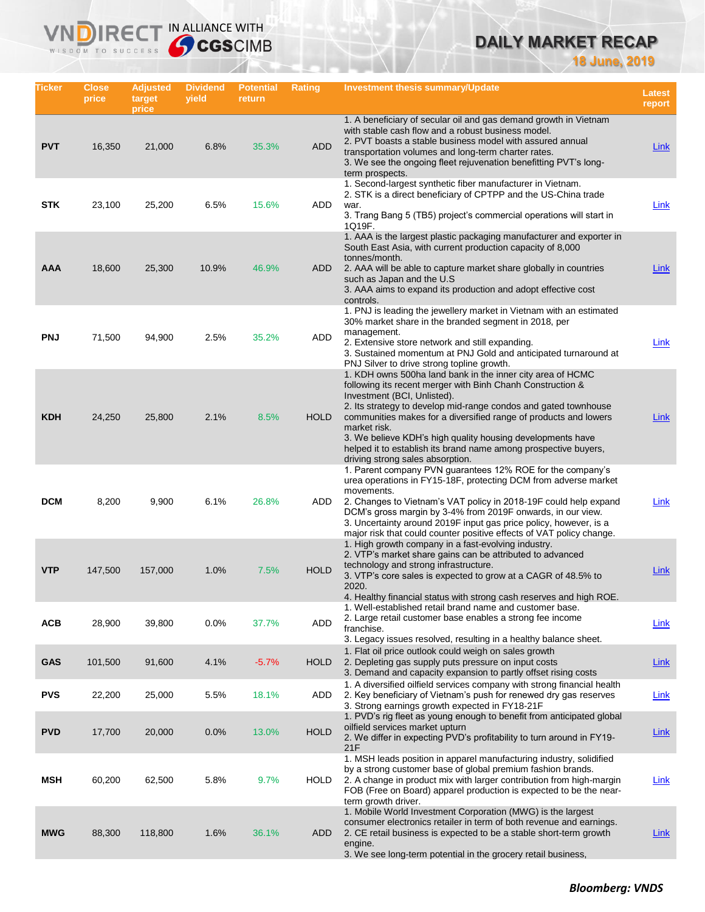# **DAILY MARKET RECAP**

**18 June, 2019**

| Ticker     | <b>Close</b><br>price | <b>Adjusted</b><br>target<br>price | <b>Dividend</b><br>yield | <b>Potential</b><br>return | Rating      | <b>Investment thesis summary/Update</b>                                                                                                                                                                                                                                                                                                                                                                                                                                             | <b>Latest</b><br>report |
|------------|-----------------------|------------------------------------|--------------------------|----------------------------|-------------|-------------------------------------------------------------------------------------------------------------------------------------------------------------------------------------------------------------------------------------------------------------------------------------------------------------------------------------------------------------------------------------------------------------------------------------------------------------------------------------|-------------------------|
| <b>PVT</b> | 16,350                | 21,000                             | 6.8%                     | 35.3%                      | <b>ADD</b>  | 1. A beneficiary of secular oil and gas demand growth in Vietnam<br>with stable cash flow and a robust business model.<br>2. PVT boasts a stable business model with assured annual<br>transportation volumes and long-term charter rates.<br>3. We see the ongoing fleet rejuvenation benefitting PVT's long-<br>term prospects.                                                                                                                                                   | <b>Link</b>             |
| <b>STK</b> | 23,100                | 25,200                             | 6.5%                     | 15.6%                      | ADD         | 1. Second-largest synthetic fiber manufacturer in Vietnam.<br>2. STK is a direct beneficiary of CPTPP and the US-China trade<br>war.<br>3. Trang Bang 5 (TB5) project's commercial operations will start in<br>1Q19F.                                                                                                                                                                                                                                                               | Link                    |
| AAA        | 18,600                | 25,300                             | 10.9%                    | 46.9%                      | ADD         | 1. AAA is the largest plastic packaging manufacturer and exporter in<br>South East Asia, with current production capacity of 8,000<br>tonnes/month.<br>2. AAA will be able to capture market share globally in countries<br>such as Japan and the U.S.<br>3. AAA aims to expand its production and adopt effective cost<br>controls.                                                                                                                                                | Link                    |
| <b>PNJ</b> | 71,500                | 94,900                             | 2.5%                     | 35.2%                      | ADD         | 1. PNJ is leading the jewellery market in Vietnam with an estimated<br>30% market share in the branded segment in 2018, per<br>management.<br>2. Extensive store network and still expanding.<br>3. Sustained momentum at PNJ Gold and anticipated turnaround at<br>PNJ Silver to drive strong topline growth.                                                                                                                                                                      | <b>Link</b>             |
| <b>KDH</b> | 24,250                | 25,800                             | 2.1%                     | 8.5%                       | <b>HOLD</b> | 1. KDH owns 500ha land bank in the inner city area of HCMC<br>following its recent merger with Binh Chanh Construction &<br>Investment (BCI, Unlisted).<br>2. Its strategy to develop mid-range condos and gated townhouse<br>communities makes for a diversified range of products and lowers<br>market risk.<br>3. We believe KDH's high quality housing developments have<br>helped it to establish its brand name among prospective buyers,<br>driving strong sales absorption. | <b>Link</b>             |
| <b>DCM</b> | 8,200                 | 9,900                              | 6.1%                     | 26.8%                      | ADD         | 1. Parent company PVN guarantees 12% ROE for the company's<br>urea operations in FY15-18F, protecting DCM from adverse market<br>movements.<br>2. Changes to Vietnam's VAT policy in 2018-19F could help expand<br>DCM's gross margin by 3-4% from 2019F onwards, in our view.<br>3. Uncertainty around 2019F input gas price policy, however, is a<br>major risk that could counter positive effects of VAT policy change.<br>1. High growth company in a fast-evolving industry.  | Link                    |
| <b>VTP</b> | 147,500               | 157,000                            | 1.0%                     | 7.5%                       | <b>HOLD</b> | 2. VTP's market share gains can be attributed to advanced<br>technology and strong infrastructure.<br>3. VTP's core sales is expected to grow at a CAGR of 48.5% to<br>2020.<br>4. Healthy financial status with strong cash reserves and high ROE.                                                                                                                                                                                                                                 | Link                    |
| <b>ACB</b> | 28,900                | 39,800                             | 0.0%                     | 37.7%                      | ADD         | 1. Well-established retail brand name and customer base.<br>2. Large retail customer base enables a strong fee income<br>franchise.<br>3. Legacy issues resolved, resulting in a healthy balance sheet.                                                                                                                                                                                                                                                                             | <b>Link</b>             |
| <b>GAS</b> | 101,500               | 91,600                             | 4.1%                     | $-5.7%$                    | <b>HOLD</b> | 1. Flat oil price outlook could weigh on sales growth<br>2. Depleting gas supply puts pressure on input costs<br>3. Demand and capacity expansion to partly offset rising costs                                                                                                                                                                                                                                                                                                     | Link                    |
| <b>PVS</b> | 22,200                | 25,000                             | 5.5%                     | 18.1%                      | ADD         | 1. A diversified oilfield services company with strong financial health<br>2. Key beneficiary of Vietnam's push for renewed dry gas reserves<br>3. Strong earnings growth expected in FY18-21F                                                                                                                                                                                                                                                                                      | Link                    |
| <b>PVD</b> | 17,700                | 20,000                             | 0.0%                     | 13.0%                      | <b>HOLD</b> | 1. PVD's rig fleet as young enough to benefit from anticipated global<br>oilfield services market upturn<br>2. We differ in expecting PVD's profitability to turn around in FY19-<br>21F                                                                                                                                                                                                                                                                                            | <b>Link</b>             |
| <b>MSH</b> | 60,200                | 62,500                             | 5.8%                     | 9.7%                       | HOLD        | 1. MSH leads position in apparel manufacturing industry, solidified<br>by a strong customer base of global premium fashion brands.<br>2. A change in product mix with larger contribution from high-margin<br>FOB (Free on Board) apparel production is expected to be the near-<br>term growth driver.                                                                                                                                                                             | <b>Link</b>             |
| <b>MWG</b> | 88,300                | 118,800                            | 1.6%                     | 36.1%                      | ADD         | 1. Mobile World Investment Corporation (MWG) is the largest<br>consumer electronics retailer in term of both revenue and earnings.<br>2. CE retail business is expected to be a stable short-term growth<br>engine.<br>3. We see long-term potential in the grocery retail business,                                                                                                                                                                                                | Link                    |
|            |                       |                                    |                          |                            |             |                                                                                                                                                                                                                                                                                                                                                                                                                                                                                     |                         |

IN ALLIANCE WITH

Vľ

n

 $R \in C$ 

WISDOM TO SUCCESS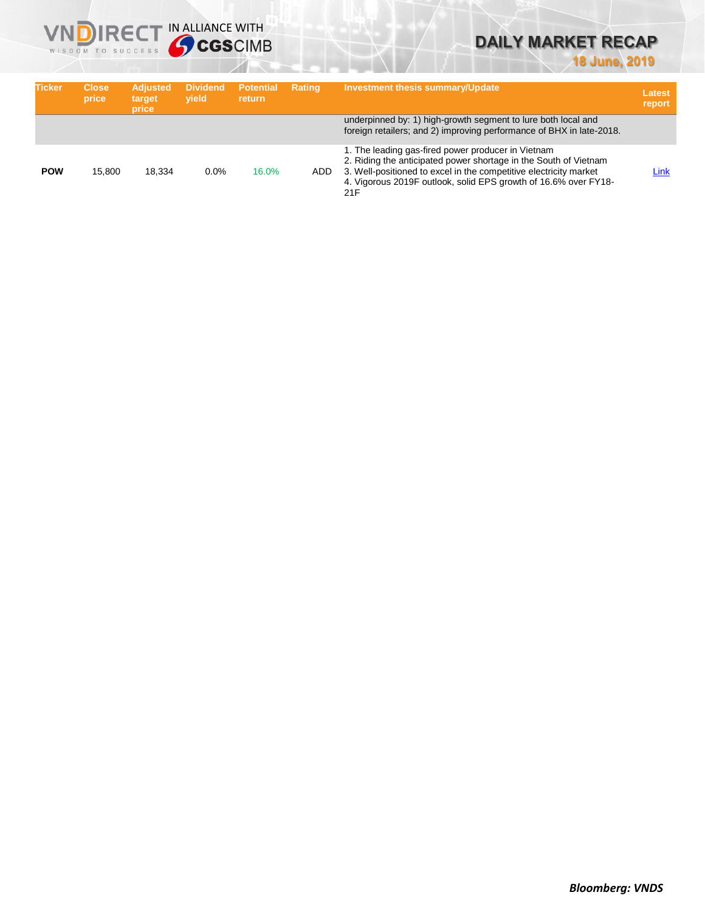# **DAILY MARKET RECAP**

# **18 June, 2019**

| <b>Ticker</b> | <b>Close</b><br>price | <b>Adjusted</b><br>target<br>price | <b>Dividend</b><br>vield | <b>Potential</b><br><b>return</b> | <b>Rating</b> | <b>Investment thesis summary/Update</b>                                                                                                                                                                                                                               | Latest<br>report |
|---------------|-----------------------|------------------------------------|--------------------------|-----------------------------------|---------------|-----------------------------------------------------------------------------------------------------------------------------------------------------------------------------------------------------------------------------------------------------------------------|------------------|
|               |                       |                                    |                          |                                   |               | underpinned by: 1) high-growth segment to lure both local and<br>foreign retailers; and 2) improving performance of BHX in late-2018.                                                                                                                                 |                  |
| <b>POW</b>    | 15.800                | 18.334                             | 0.0%                     | 16.0%                             | ADD.          | 1. The leading gas-fired power producer in Vietnam<br>2. Riding the anticipated power shortage in the South of Vietnam<br>3. Well-positioned to excel in the competitive electricity market<br>4. Vigorous 2019F outlook, solid EPS growth of 16.6% over FY18-<br>21F | Link             |

**VNDIRECT IN ALLIANCE WITH** 

WISDOM TO SUCCESS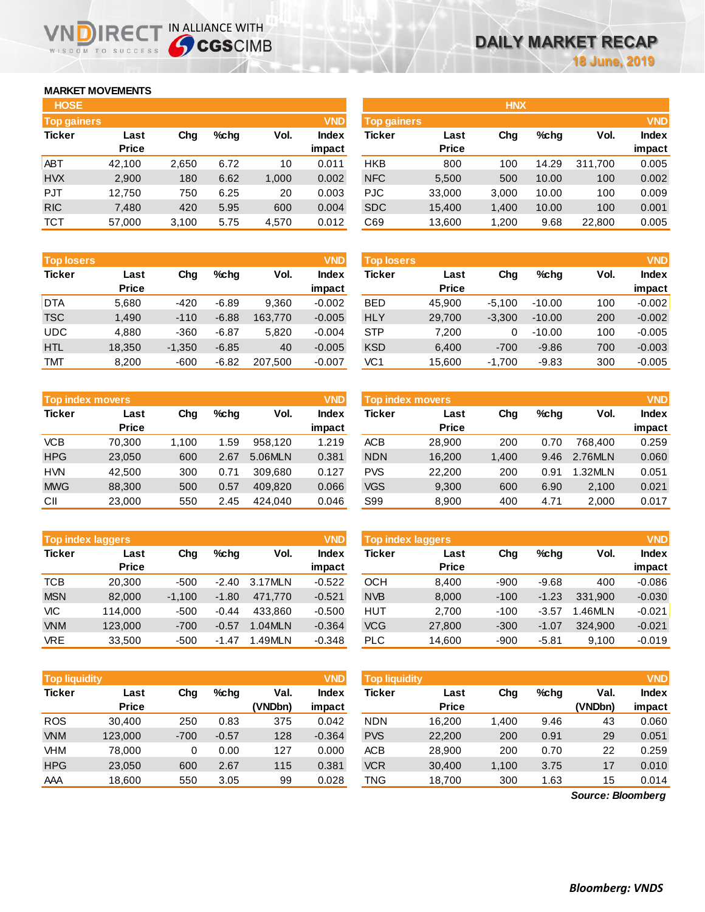## **MARKET MOVEMENTS**

WISDOM TO SUCCESS

n

| <b>HOSE</b>   |              |       |         |       |            |                    |              | <b>HNX</b> |         |         |            |
|---------------|--------------|-------|---------|-------|------------|--------------------|--------------|------------|---------|---------|------------|
| Top gainers   |              |       |         |       | <b>VND</b> | <b>Top gainers</b> |              |            |         |         | <b>VND</b> |
| <b>Ticker</b> | Last         | Chg   | $%$ chq | Vol.  | Index      | <b>Ticker</b>      | Last         | Chg        | $%$ chq | Vol.    | Index      |
|               | <b>Price</b> |       |         |       | impact     |                    | <b>Price</b> |            |         |         | impact     |
| <b>ABT</b>    | 42,100       | 2,650 | 6.72    | 10    | 0.011      | <b>HKB</b>         | 800          | 100        | 14.29   | 311,700 | 0.005      |
| <b>HVX</b>    | 2,900        | 180   | 6.62    | 1,000 | 0.002      | <b>NFC</b>         | 5,500        | 500        | 10.00   | 100     | 0.002      |
| <b>PJT</b>    | 12,750       | 750   | 6.25    | 20    | 0.003      | <b>PJC</b>         | 33,000       | 3,000      | 10.00   | 100     | 0.009      |
| <b>RIC</b>    | 7,480        | 420   | 5.95    | 600   | 0.004      | <b>SDC</b>         | 15.400       | 1.400      | 10.00   | 100     | 0.001      |
| <b>TCT</b>    | 57,000       | 3,100 | 5.75    | 4,570 | 0.012      | C69                | 13.600       | 1.200      | 9.68    | 22,800  | 0.005      |

**IRECT IN ALLIANCE WITH** 

| <b>Top losers</b> |              |          |         |         | <b>VND</b>   |
|-------------------|--------------|----------|---------|---------|--------------|
| <b>Ticker</b>     | Last         | Cha      | %chq    | Vol.    | <b>Index</b> |
|                   | <b>Price</b> |          |         |         | impact       |
| <b>DTA</b>        | 5,680        | -420     | $-6.89$ | 9,360   | $-0.002$     |
| <b>TSC</b>        | 1.490        | $-110$   | $-6.88$ | 163,770 | $-0.005$     |
| <b>UDC</b>        | 4,880        | $-360$   | $-6.87$ | 5,820   | $-0.004$     |
| <b>HTL</b>        | 18,350       | $-1,350$ | $-6.85$ | 40      | $-0.005$     |
| <b>TMT</b>        | 8,200        | -600     | $-6.82$ | 207,500 | $-0.007$     |

| <b>VND</b><br><b>Top index movers</b> |              |       |      |         |        |  |  |  |  |
|---------------------------------------|--------------|-------|------|---------|--------|--|--|--|--|
| <b>Ticker</b>                         | Last         | Cha   | %chq | Vol.    | Index  |  |  |  |  |
|                                       | <b>Price</b> |       |      |         | impact |  |  |  |  |
| <b>VCB</b>                            | 70,300       | 1,100 | 1.59 | 958.120 | 1.219  |  |  |  |  |
| <b>HPG</b>                            | 23,050       | 600   | 2.67 | 5.06MLN | 0.381  |  |  |  |  |
| <b>HVN</b>                            | 42,500       | 300   | 0.71 | 309,680 | 0.127  |  |  |  |  |
| <b>MWG</b>                            | 88,300       | 500   | 0.57 | 409,820 | 0.066  |  |  |  |  |
| СII                                   | 23,000       | 550   | 2.45 | 424.040 | 0.046  |  |  |  |  |

| <b>VND</b><br><b>Top index laggers</b> |              |          |         |         |              |  |  |  |  |
|----------------------------------------|--------------|----------|---------|---------|--------------|--|--|--|--|
| <b>Ticker</b>                          | Last         | Cha      | %chq    | Vol.    | <b>Index</b> |  |  |  |  |
|                                        | <b>Price</b> |          |         |         | impact       |  |  |  |  |
| <b>TCB</b>                             | 20,300       | $-500$   | $-2.40$ | 3.17MLN | $-0.522$     |  |  |  |  |
| <b>MSN</b>                             | 82,000       | $-1,100$ | $-1.80$ | 471,770 | $-0.521$     |  |  |  |  |
| VIC                                    | 114,000      | $-500$   | $-0.44$ | 433,860 | $-0.500$     |  |  |  |  |
| <b>VNM</b>                             | 123,000      | $-700$   | $-0.57$ | 1.04MLN | $-0.364$     |  |  |  |  |
| <b>VRE</b>                             | 33,500       | $-500$   | $-1.47$ | 1.49MLN | $-0.348$     |  |  |  |  |

|               | <b>VND</b><br><b>Top liquidity</b> |        |         |         |              |  |  |  |  |  |  |  |  |
|---------------|------------------------------------|--------|---------|---------|--------------|--|--|--|--|--|--|--|--|
| <b>Ticker</b> | Last                               | Cha    | %chq    | Val.    | <b>Index</b> |  |  |  |  |  |  |  |  |
|               | <b>Price</b>                       |        |         | (VNDbn) | impact       |  |  |  |  |  |  |  |  |
| <b>ROS</b>    | 30,400                             | 250    | 0.83    | 375     | 0.042        |  |  |  |  |  |  |  |  |
| <b>VNM</b>    | 123,000                            | $-700$ | $-0.57$ | 128     | $-0.364$     |  |  |  |  |  |  |  |  |
| VHM           | 78,000                             | 0      | 0.00    | 127     | 0.000        |  |  |  |  |  |  |  |  |
| <b>HPG</b>    | 23,050                             | 600    | 2.67    | 115     | 0.381        |  |  |  |  |  |  |  |  |
| AAA           | 18,600                             | 550    | 3.05    | 99      | 0.028        |  |  |  |  |  |  |  |  |

| <b>HOSE</b>        |              |       |      |       |              | <b>HNX</b>         |              |       |         |         |              |  |
|--------------------|--------------|-------|------|-------|--------------|--------------------|--------------|-------|---------|---------|--------------|--|
| <b>Top gainers</b> |              |       |      |       | <b>VND</b>   | <b>Top gainers</b> |              |       |         |         | <b>VND</b>   |  |
| Ticker             | Last         | Chg   | %chq | Vol.  | <b>Index</b> | Ticker             | Last         | Chg   | $%$ chq | Vol.    | <b>Index</b> |  |
|                    | <b>Price</b> |       |      |       | impact       |                    | <b>Price</b> |       |         |         | impact       |  |
| ABT                | 42,100       | 2,650 | 6.72 | 10    | 0.011        | <b>HKB</b>         | 800          | 100   | 14.29   | 311,700 | 0.005        |  |
| <b>HVX</b>         | 2,900        | 180   | 6.62 | 1,000 | 0.002        | <b>NFC</b>         | 5,500        | 500   | 10.00   | 100     | 0.002        |  |
| PJT                | 12.750       | 750   | 6.25 | 20    | 0.003        | PJC                | 33,000       | 3,000 | 10.00   | 100     | 0.009        |  |
| <b>RIC</b>         | 7,480        | 420   | 5.95 | 600   | 0.004        | <b>SDC</b>         | 15,400       | 1,400 | 10.00   | 100     | 0.001        |  |
| тст                | 57,000       | 3,100 | 5.75 | 4,570 | 0.012        | C69                | 13,600       | 1,200 | 9.68    | 22,800  | 0.005        |  |

| <b>Top losers</b> |                      |          |         |         | <b>VND</b>             | <b>Top losers</b> |                      |          |          |      |                        |
|-------------------|----------------------|----------|---------|---------|------------------------|-------------------|----------------------|----------|----------|------|------------------------|
| Ticker            | Last<br><b>Price</b> | Chg      | $%$ chq | Vol.    | <b>Index</b><br>impact | Ticker            | Last<br><b>Price</b> | Chg      | %chq     | Vol. | <b>Index</b><br>impact |
| <b>DTA</b>        | 5,680                | $-420$   | $-6.89$ | 9.360   | $-0.002$               | <b>BED</b>        | 45,900               | $-5.100$ | $-10.00$ | 100  | $-0.002$               |
| TSC               | 1,490                | $-110$   | $-6.88$ | 163,770 | $-0.005$               | <b>HLY</b>        | 29,700               | $-3,300$ | $-10.00$ | 200  | $-0.002$               |
| UDC               | 4,880                | $-360$   | $-6.87$ | 5,820   | $-0.004$               | <b>STP</b>        | 7.200                |          | $-10.00$ | 100  | $-0.005$               |
| <b>HTL</b>        | 18,350               | $-1,350$ | $-6.85$ | 40      | $-0.005$               | <b>KSD</b>        | 6,400                | $-700$   | $-9.86$  | 700  | $-0.003$               |
| TMT               | 8,200                | $-600$   | $-6.82$ | 207,500 | $-0.007$               | VC 1              | 15,600               | $-1,700$ | $-9.83$  | 300  | $-0.005$               |

| Top index movers |              |       |      |         | <b>VND</b> | <b>Top index movers</b> |              |       |         |         | <b>VND</b>   |
|------------------|--------------|-------|------|---------|------------|-------------------------|--------------|-------|---------|---------|--------------|
| Ticker           | Last         | Chg   | %chq | Vol.    | Index      | Ticker                  | Last         | Chg   | $%$ chq | Vol.    | <b>Index</b> |
|                  | <b>Price</b> |       |      |         | impact     |                         | <b>Price</b> |       |         |         | impact       |
| <b>VCB</b>       | 70.300       | 1.100 | .59  | 958.120 | 1.219      | <b>ACB</b>              | 28,900       | 200   | 0.70    | 768.400 | 0.259        |
| <b>HPG</b>       | 23,050       | 600   | 2.67 | 5.06MLN | 0.381      | <b>NDN</b>              | 16,200       | 1,400 | 9.46    | 2.76MLN | 0.060        |
| <b>HVN</b>       | 42.500       | 300   | 0.71 | 309.680 | 0.127      | <b>PVS</b>              | 22,200       | 200   | 0.91    | 1.32MLN | 0.051        |
| <b>MWG</b>       | 88,300       | 500   | 0.57 | 409.820 | 0.066      | <b>VGS</b>              | 9,300        | 600   | 6.90    | 2.100   | 0.021        |
| СII              | 23,000       | 550   | 2.45 | 424.040 | 0.046      | S99                     | 8,900        | 400   | 4.71    | 2,000   | 0.017        |

| VND<br><b>Top index laggers</b> |              |          |         |         |              | <b>Top index laggers</b> |              |        |         |         | <b>VND</b>   |
|---------------------------------|--------------|----------|---------|---------|--------------|--------------------------|--------------|--------|---------|---------|--------------|
| Ticker                          | Last         | Chg      | $%$ chq | Vol.    | <b>Index</b> | Ticker                   | Last         | Chg    | $%$ chq | Vol.    | <b>Index</b> |
|                                 | <b>Price</b> |          |         |         | impact       |                          | <b>Price</b> |        |         |         | impact       |
| TCB                             | 20,300       | $-500$   | $-2.40$ | 3.17MLN | $-0.522$     | <b>OCH</b>               | 8.400        | $-900$ | $-9.68$ | 400     | $-0.086$     |
| <b>MSN</b>                      | 82,000       | $-1.100$ | $-1.80$ | 471.770 | $-0.521$     | <b>NVB</b>               | 8,000        | $-100$ | $-1.23$ | 331.900 | $-0.030$     |
| VIC                             | 114.000      | $-500$   | $-0.44$ | 433.860 | $-0.500$     | HUT                      | 2.700        | $-100$ | $-3.57$ | .46MLN  | $-0.021$     |
| <b>VNM</b>                      | 123,000      | $-700$   | $-0.57$ | 1.04MLN | $-0.364$     | <b>VCG</b>               | 27,800       | $-300$ | $-1.07$ | 324.900 | $-0.021$     |
| <b>VRE</b>                      | 33.500       | $-500$   | -1.47   | .49MLN  | $-0.348$     | <b>PLC</b>               | 14,600       | $-900$ | $-5.81$ | 9.100   | $-0.019$     |

| <b>Top liquidity</b> |                      |        |         |                 | <b>VND</b>             | <b>Top liquidity</b> |                      |       |         |                   | <b>VND</b>             |
|----------------------|----------------------|--------|---------|-----------------|------------------------|----------------------|----------------------|-------|---------|-------------------|------------------------|
| Ticker               | Last<br><b>Price</b> | Chg    | %chq    | Val.<br>(VNDbn) | <b>Index</b><br>impact | Ticker               | Last<br><b>Price</b> | Chg   | $%$ chq | Val.<br>(VNDbn)   | <b>Index</b><br>impact |
| <b>ROS</b>           | 30.400               | 250    | 0.83    | 375             | 0.042                  | <b>NDN</b>           | 16.200               | 1,400 | 9.46    | 43                | 0.060                  |
| <b>VNM</b>           | 123,000              | $-700$ | $-0.57$ | 128             | $-0.364$               | <b>PVS</b>           | 22,200               | 200   | 0.91    | 29                | 0.051                  |
| VHM                  | 78.000               | 0      | 0.00    | 127             | 0.000                  | <b>ACB</b>           | 28,900               | 200   | 0.70    | 22                | 0.259                  |
| <b>HPG</b>           | 23,050               | 600    | 2.67    | 115             | 0.381                  | <b>VCR</b>           | 30,400               | 1.100 | 3.75    | 17                | 0.010                  |
| AAA                  | 18,600               | 550    | 3.05    | 99              | 0.028                  | TNG                  | 18,700               | 300   | 1.63    | 15                | 0.014                  |
|                      |                      |        |         |                 |                        |                      |                      |       |         | Source: Bloomberg |                        |

*Source: Bloomberg*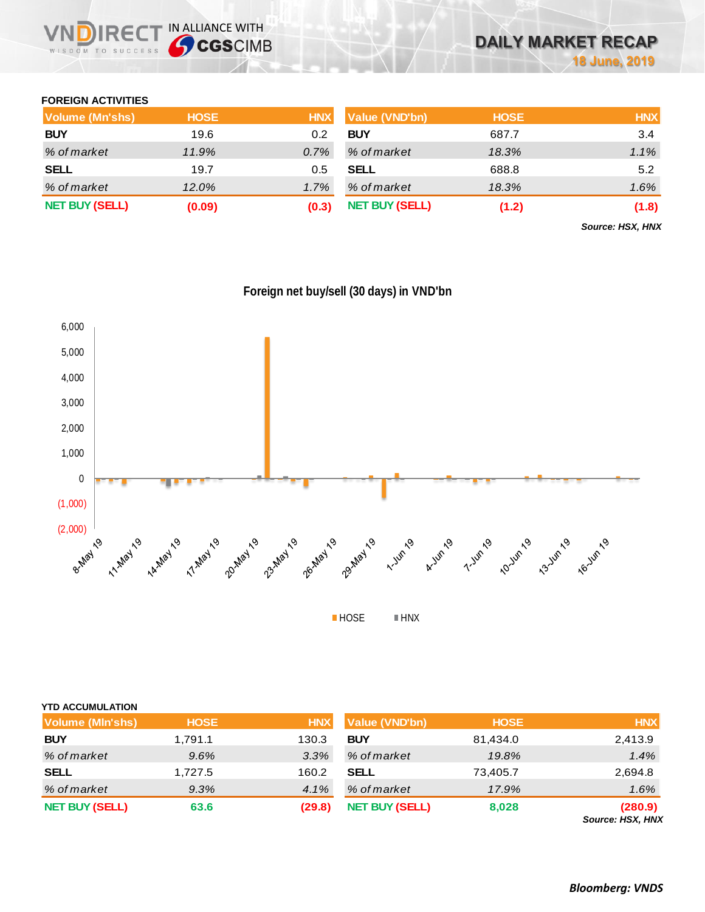

### **FOREIGN ACTIVITIES**

| Volume (Mn'shs)       | <b>HOSE</b> | <b>HNX</b> | Value (VND'bn)        | <b>HOSE</b> | <b>HNX</b> |
|-----------------------|-------------|------------|-----------------------|-------------|------------|
| <b>BUY</b>            | 19.6        | 0.2        | <b>BUY</b>            | 687.7       | 3.4        |
| % of market           | 11.9%       | $0.7\%$    | % of market           | 18.3%       | 1.1%       |
| <b>SELL</b>           | 19.7        | 0.5        | <b>SELL</b>           | 688.8       | 5.2        |
| % of market           | 12.0%       | 1.7%       | % of market           | 18.3%       | 1.6%       |
| <b>NET BUY (SELL)</b> | (0.09)      | (0.3)      | <b>NET BUY (SELL)</b> | (1.2)       | (1.8)      |

*Source: HSX, HNX*





| <b>YTD ACCUMULATION</b> |             |            |                       |             |                                    |
|-------------------------|-------------|------------|-----------------------|-------------|------------------------------------|
| <b>Volume (MIn'shs)</b> | <b>HOSE</b> | <b>HNX</b> | Value (VND'bn)        | <b>HOSE</b> | <b>HNX</b>                         |
| <b>BUY</b>              | 1,791.1     | 130.3      | <b>BUY</b>            | 81,434.0    | 2,413.9                            |
| % of market             | 9.6%        | 3.3%       | % of market           | 19.8%       | 1.4%                               |
| <b>SELL</b>             | 1,727.5     | 160.2      | <b>SELL</b>           | 73,405.7    | 2,694.8                            |
| % of market             | 9.3%        | 4.1%       | % of market           | 17.9%       | 1.6%                               |
| <b>NET BUY (SELL)</b>   | 63.6        | (29.8)     | <b>NET BUY (SELL)</b> | 8,028       | (280.9)<br><b>Source: HSX, HNX</b> |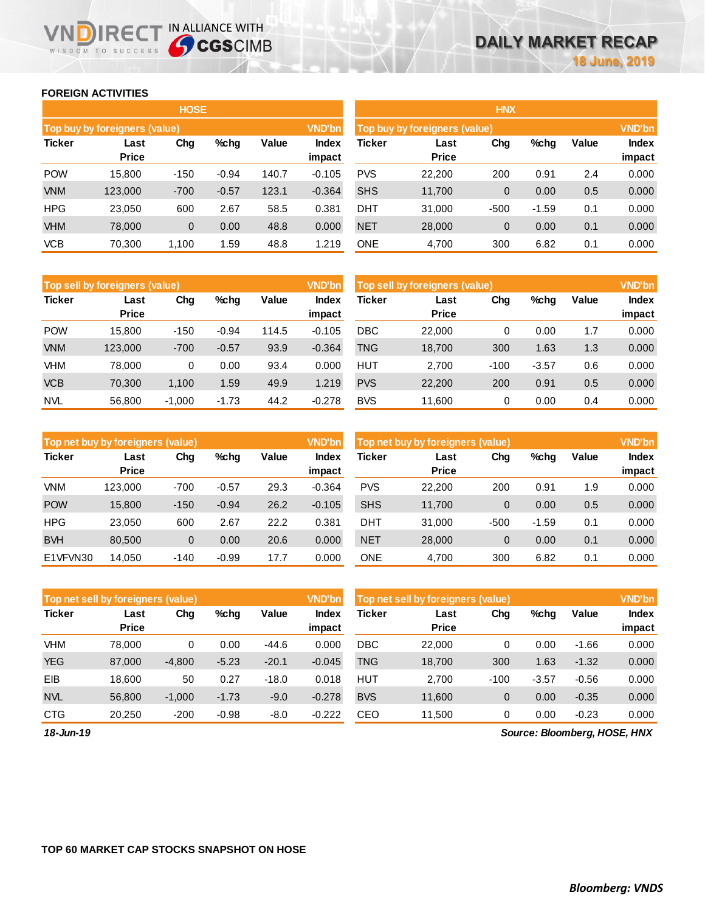### **FOREIGN ACTIVITIES**

WISDOM TO SUCCESS

R<sub>E</sub>

**THE IN ALLIANCE WITH<br>
CGSCIMB** 

|               |                               | <b>HOSE</b>   |                               |               |                 |            |                      | <b>HNX</b>     |         |       |                 |
|---------------|-------------------------------|---------------|-------------------------------|---------------|-----------------|------------|----------------------|----------------|---------|-------|-----------------|
|               | Top buy by foreigners (value) | <b>VND'bn</b> | Top buy by foreigners (value) | <b>VND'bn</b> |                 |            |                      |                |         |       |                 |
| <b>Ticker</b> | Last<br><b>Price</b>          | Chg           | $%$ chg                       | Value         | Index<br>impact | Ticker     | Last<br><b>Price</b> | Chg            | %chg    | Value | Index<br>impact |
| <b>POW</b>    | 15.800                        | $-150$        | $-0.94$                       | 140.7         | $-0.105$        | <b>PVS</b> | 22,200               | 200            | 0.91    | 2.4   | 0.000           |
| <b>VNM</b>    | 123,000                       | $-700$        | $-0.57$                       | 123.1         | $-0.364$        | <b>SHS</b> | 11,700               | 0              | 0.00    | 0.5   | 0.000           |
| <b>HPG</b>    | 23,050                        | 600           | 2.67                          | 58.5          | 0.381           | <b>DHT</b> | 31.000               | $-500$         | $-1.59$ | 0.1   | 0.000           |
| <b>VHM</b>    | 78,000                        | 0             | 0.00                          | 48.8          | 0.000           | <b>NET</b> | 28,000               | $\overline{0}$ | 0.00    | 0.1   | 0.000           |
| <b>VCB</b>    | 70,300                        | 1,100         | 1.59                          | 48.8          | 1.219           | <b>ONE</b> | 4,700                | 300            | 6.82    | 0.1   | 0.000           |

|               | <b>VND'bn</b><br>Top sell by foreigners (value) |          |         |       |                        |            | <b>VND'bn</b><br>Top sell by foreigners (value) |        |         |       |                 |
|---------------|-------------------------------------------------|----------|---------|-------|------------------------|------------|-------------------------------------------------|--------|---------|-------|-----------------|
| <b>Ticker</b> | Last<br><b>Price</b>                            | Chg      | $%$ chg | Value | <b>Index</b><br>impact | Ticker     | Last<br><b>Price</b>                            | Chg    | %chg    | Value | Index<br>impact |
| <b>POW</b>    | 15.800                                          | $-150$   | $-0.94$ | 114.5 | $-0.105$               | <b>DBC</b> | 22,000                                          | 0      | 0.00    | 1.7   | 0.000           |
| <b>VNM</b>    | 123,000                                         | $-700$   | $-0.57$ | 93.9  | $-0.364$               | <b>TNG</b> | 18,700                                          | 300    | 1.63    | 1.3   | 0.000           |
| VHM           | 78,000                                          | 0        | 0.00    | 93.4  | 0.000                  | <b>HUT</b> | 2.700                                           | $-100$ | $-3.57$ | 0.6   | 0.000           |
| <b>VCB</b>    | 70,300                                          | 1,100    | 1.59    | 49.9  | 1.219                  | <b>PVS</b> | 22,200                                          | 200    | 0.91    | 0.5   | 0.000           |
| <b>NVL</b>    | 56,800                                          | $-1,000$ | $-1.73$ | 44.2  | $-0.278$               | <b>BVS</b> | 11,600                                          | 0      | 0.00    | 0.4   | 0.000           |

| <b>VND'bn</b><br>Top net buy by foreigners (value) |                      |        |         |       |                        | <b>VND'bn</b><br>Top net buy by foreigners (value) |                      |        |         |       |                        |
|----------------------------------------------------|----------------------|--------|---------|-------|------------------------|----------------------------------------------------|----------------------|--------|---------|-------|------------------------|
| <b>Ticker</b>                                      | Last<br><b>Price</b> | Chg    | $%$ chg | Value | <b>Index</b><br>impact | Ticker                                             | Last<br><b>Price</b> | Chg    | %chg    | Value | <b>Index</b><br>impact |
| <b>VNM</b>                                         | 123.000              | -700   | $-0.57$ | 29.3  | $-0.364$               | <b>PVS</b>                                         | 22,200               | 200    | 0.91    | 1.9   | 0.000                  |
| <b>POW</b>                                         | 15,800               | $-150$ | $-0.94$ | 26.2  | $-0.105$               | <b>SHS</b>                                         | 11,700               | 0      | 0.00    | 0.5   | 0.000                  |
| <b>HPG</b>                                         | 23.050               | 600    | 2.67    | 22.2  | 0.381                  | DHT                                                | 31.000               | $-500$ | $-1.59$ | 0.1   | 0.000                  |
| <b>BVH</b>                                         | 80,500               | 0      | 0.00    | 20.6  | 0.000                  | <b>NET</b>                                         | 28,000               | 0      | 0.00    | 0.1   | 0.000                  |
| E1VFVN30                                           | 14.050               | $-140$ | $-0.99$ | 17.7  | 0.000                  | <b>ONE</b>                                         | 4.700                | 300    | 6.82    | 0.1   | 0.000                  |

| <b>VND'bn</b><br>Top net sell by foreigners (value) |                      |          |         |         |                 | <b>VND'bn</b><br>Top net sell by foreigners (value) |                      |                |         |         |                 |
|-----------------------------------------------------|----------------------|----------|---------|---------|-----------------|-----------------------------------------------------|----------------------|----------------|---------|---------|-----------------|
| <b>Ticker</b>                                       | Last<br><b>Price</b> | Chg      | %chg    | Value   | Index<br>impact | Ticker                                              | Last<br><b>Price</b> | Chg            | %chg    | Value   | Index<br>impact |
| <b>VHM</b>                                          | 78.000               | 0        | 0.00    | $-44.6$ | 0.000           | <b>DBC</b>                                          | 22,000               | 0              | 0.00    | $-1.66$ | 0.000           |
| <b>YEG</b>                                          | 87,000               | $-4.800$ | $-5.23$ | $-20.1$ | $-0.045$        | <b>TNG</b>                                          | 18,700               | 300            | 1.63    | $-1.32$ | 0.000           |
| EIB                                                 | 18.600               | 50       | 0.27    | $-18.0$ | 0.018           | <b>HUT</b>                                          | 2.700                | $-100$         | $-3.57$ | $-0.56$ | 0.000           |
| <b>NVL</b>                                          | 56,800               | $-1.000$ | $-1.73$ | $-9.0$  | $-0.278$        | <b>BVS</b>                                          | 11,600               | $\overline{0}$ | 0.00    | $-0.35$ | 0.000           |
| <b>CTG</b>                                          | 20.250               | $-200$   | $-0.98$ | $-8.0$  | $-0.222$        | CEO                                                 | 11.500               |                | 0.00    | $-0.23$ | 0.000           |

*18-Jun-19*

*Source: Bloomberg, HOSE, HNX*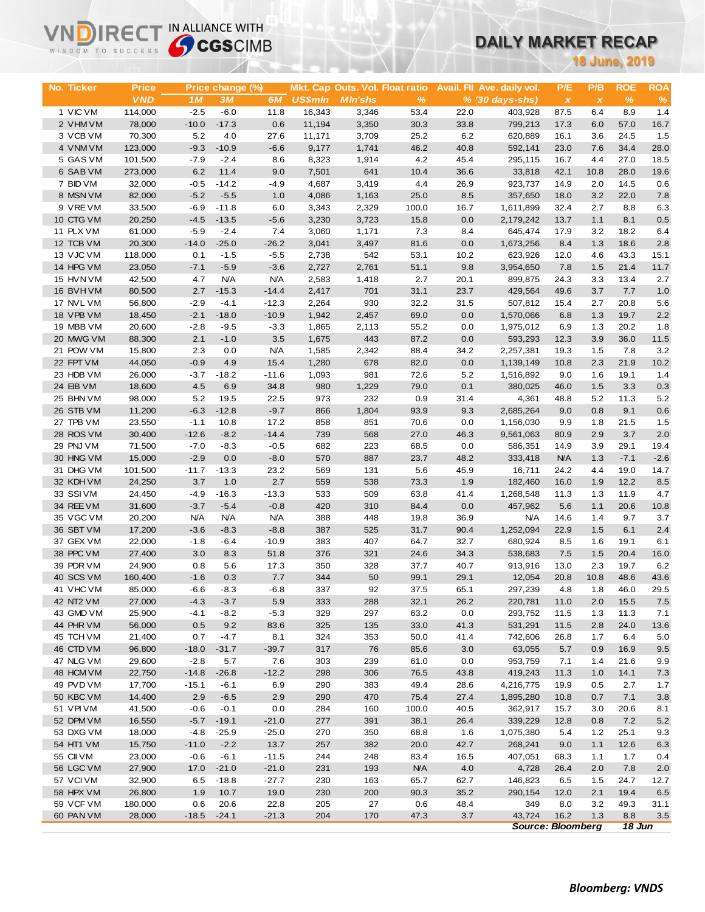# **DAILY MARKET RECAP**

|                        | <b>47 CGS</b> CIMB<br>WISDOM TO SUCCESS |                  |                    |                    |                 |                                 |                    | <b>DAILY MARKET RECAP</b> |                             |                    |                           |                |                |  |
|------------------------|-----------------------------------------|------------------|--------------------|--------------------|-----------------|---------------------------------|--------------------|---------------------------|-----------------------------|--------------------|---------------------------|----------------|----------------|--|
|                        |                                         |                  |                    |                    |                 |                                 |                    |                           | <b>18 June, 2019</b>        |                    |                           |                |                |  |
|                        |                                         |                  |                    |                    |                 |                                 |                    |                           |                             |                    |                           |                |                |  |
| No. Ticker             | Price                                   |                  | Price change (%)   |                    |                 | Mkt. Cap Outs. Vol. Float ratio |                    |                           | Avail. Fil Ave. daily vol.  | P/E                | P/B                       | <b>ROE</b>     | <b>ROA</b>     |  |
|                        | <b>VND</b>                              | 1M               | 3M                 | 6M                 | <b>US\$mln</b>  | <b>MIn'shs</b>                  | $\%$               |                           | $% (30 \, \text{days-shs})$ | $\pmb{\chi}$       | $\boldsymbol{\mathsf{x}}$ | $\%$           | $\%$           |  |
| 1 VIC VM               | 114,000                                 | $-2.5$           | $-6.0$             | 11.8               | 16,343          | 3,346                           | 53.4               | 22.0                      | 403,928                     | 87.5               | 6.4                       | 8.9            | 1.4            |  |
| 2 VHM VM               | 78,000                                  | $-10.0$<br>5.2   | $-17.3$<br>4.0     | 0.6                | 11,194          | 3,350                           | 30.3               | 33.8<br>6.2               | 799,213                     | 17.3<br>16.1       | 6.0                       | 57.0<br>24.5   | 16.7           |  |
| 3 VCB VM<br>4 VNM VM   | 70,300<br>123,000                       | $-9.3$           | $-10.9$            | 27.6<br>$-6.6$     | 11,171<br>9,177 | 3,709<br>1,741                  | 25.2<br>46.2       | 40.8                      | 620,889<br>592,141          | 23.0               | 3.6<br>7.6                | 34.4           | 1.5<br>28.0    |  |
| 5 GAS VM               | 101,500                                 | $-7.9$           | $-2.4$             | 8.6                | 8,323           | 1,914                           | 4.2                | 45.4                      | 295,115                     | 16.7               | 4.4                       | 27.0           | 18.5           |  |
| 6 SAB VM               | 273,000                                 | 6.2              | 11.4               | 9.0                | 7,501           | 641                             | 10.4               | 36.6                      | 33,818                      | 42.1               | 10.8                      | 28.0           | 19.6           |  |
| 7 BID VM               | 32,000                                  | $-0.5$           | $-14.2$            | $-4.9$             | 4,687           | 3,419                           | 4.4                | 26.9                      | 923,737                     | 14.9               | 2.0                       | 14.5           | 0.6            |  |
| 8 MSN VM               | 82,000                                  | $-5.2$           | $-5.5$             | 1.0                | 4,086           | 1,163                           | 25.0               | 8.5                       | 357,650                     | 18.0               | 3.2                       | 22.0           | 7.8            |  |
| 9 VREVM                | 33,500                                  | $-6.9$           | $-11.8$            | 6.0                | 3,343           | 2,329                           | 100.0              | 16.7                      | 1,611,899                   | 32.4               | 2.7                       | 8.8            | 6.3            |  |
| 10 CTG VM              | 20,250                                  | $-4.5$           | $-13.5$            | $-5.6$             | 3,230           | 3,723                           | 15.8               | 0.0                       | 2,179,242                   | 13.7               | 1.1                       | 8.1            | 0.5            |  |
| 11 PLX VM              | 61,000                                  | $-5.9$           | $-2.4$             | 7.4                | 3,060           | 1,171                           | 7.3                | 8.4                       | 645,474                     | 17.9               | 3.2                       | 18.2           | 6.4            |  |
| 12 TCB VM              | 20,300                                  | $-14.0$          | $-25.0$            | $-26.2$            | 3,041           | 3,497                           | 81.6               | 0.0                       | 1,673,256                   | 8.4                | 1.3                       | 18.6           | 2.8            |  |
| 13 VJC VM              | 118,000                                 | 0.1              | $-1.5$             | $-5.5$             | 2,738           | 542                             | 53.1               | 10.2                      | 623,926                     | 12.0               | 4.6                       | 43.3           | 15.1           |  |
| 14 HPG VM              | 23,050                                  | $-7.1$           | $-5.9$             | $-3.6$             | 2,727           | 2,761                           | 51.1               | 9.8                       | 3,954,650                   | 7.8                | 1.5                       | 21.4           | 11.7           |  |
| 15 HVN VM              | 42,500                                  | 4.7              | <b>N/A</b>         | <b>N/A</b>         | 2,583           | 1,418                           | 2.7                | 20.1                      | 899,875                     | 24.3               | 3.3                       | 13.4           | 2.7            |  |
| 16 BVH VM<br>17 NVL VM | 80,500<br>56,800                        | 2.7<br>$-2.9$    | $-15.3$<br>$-4.1$  | $-14.4$<br>$-12.3$ | 2,417<br>2,264  | 701<br>930                      | 31.1<br>32.2       | 23.7<br>31.5              | 429,564<br>507,812          | 49.6               | 3.7                       | 7.7<br>20.8    | 1.0<br>5.6     |  |
| 18 VPB VM              | 18,450                                  | $-2.1$           | $-18.0$            | $-10.9$            | 1,942           | 2,457                           | 69.0               | 0.0                       | 1,570,066                   | 15.4<br>6.8        | 2.7<br>1.3                | 19.7           | 2.2            |  |
| 19 MBB VM              | 20,600                                  | $-2.8$           | $-9.5$             | $-3.3$             | 1,865           | 2,113                           | 55.2               | 0.0                       | 1,975,012                   | 6.9                | 1.3                       | 20.2           | 1.8            |  |
| 20 MWG VM              | 88,300                                  | 2.1              | $-1.0$             | 3.5                | 1,675           | 443                             | 87.2               | 0.0                       | 593,293                     | 12.3               | 3.9                       | 36.0           | 11.5           |  |
| 21 POW VM              | 15,800                                  | 2.3              | 0.0                | <b>N/A</b>         | 1,585           | 2,342                           | 88.4               | 34.2                      | 2,257,381                   | 19.3               | 1.5                       | 7.8            | 3.2            |  |
| 22 FPT VM              | 44,050                                  | $-0.9$           | 4.9                | 15.4               | 1,280           | 678                             | 82.0               | 0.0                       | 1,139,149                   | 10.8               | 2.3                       | 21.9           | 10.2           |  |
| 23 HDB VM              | 26,000                                  | $-3.7$           | $-18.2$            | $-11.6$            | 1,093           | 981                             | 72.6               | 5.2                       | 1,516,892                   | 9.0                | 1.6                       | 19.1           | 1.4            |  |
| 24 EIB VM              | 18,600                                  | 4.5              | 6.9                | 34.8               | 980             | 1,229                           | 79.0               | 0.1                       | 380,025                     | 46.0               | 1.5                       | 3.3            | 0.3            |  |
| 25 BHN VM              | 98,000                                  | 5.2              | 19.5               | 22.5               | 973             | 232                             | 0.9                | 31.4                      | 4,361                       | 48.8               | 5.2                       | 11.3           | 5.2            |  |
| 26 STB VM              | 11,200                                  | $-6.3$           | $-12.8$            | $-9.7$             | 866             | 1,804                           | 93.9               | 9.3                       | 2,685,264                   | 9.0                | 0.8                       | 9.1            | 0.6            |  |
| 27 TPB VM              | 23,550                                  | $-1.1$           | 10.8               | 17.2               | 858             | 851                             | 70.6               | 0.0                       | 1,156,030                   | 9.9                | 1.8                       | 21.5           | 1.5            |  |
| 28 ROS VM              | 30,400                                  | $-12.6$          | $-8.2$             | $-14.4$            | 739             | 568                             | 27.0               | 46.3                      | 9,561,063                   | 80.9               | 2.9                       | 3.7            | 2.0            |  |
| 29 PNJ VM<br>30 HNG VM | 71,500<br>15,000                        | $-7.0$<br>$-2.9$ | $-8.3$<br>0.0      | $-0.5$<br>$-8.0$   | 682<br>570      | 223<br>887                      | 68.5<br>23.7       | 0.0<br>48.2               | 586,351                     | 14.9<br><b>N/A</b> | 3.9<br>1.3                | 29.1<br>$-7.1$ | 19.4<br>$-2.6$ |  |
| 31 DHG VM              | 101,500                                 | $-11.7$          | $-13.3$            | 23.2               | 569             | 131                             | 5.6                | 45.9                      | 333,418<br>16,711           | 24.2               | 4.4                       | 19.0           | 14.7           |  |
| 32 KDH VM              | 24,250                                  | 3.7              | 1.0                | 2.7                | 559             | 538                             | 73.3               | 1.9                       | 182,460                     | 16.0               | 1.9                       | 12.2           | 8.5            |  |
| 33 SSI VM              | 24,450                                  | $-4.9$           | $-16.3$            | $-13.3$            | 533             | 509                             | 63.8               | 41.4                      | 1,268,548                   | 11.3               | 1.3                       | 11.9           | 4.7            |  |
| 34 REE VM              | 31,600                                  | $-3.7$           | $-5.4$             | $-0.8$             | 420             | 310                             | 84.4               | 0.0                       | 457,962                     | 5.6                | 1.1                       | 20.6           | 10.8           |  |
| 35 VGC VM              | 20,200                                  | <b>N/A</b>       | <b>N/A</b>         | <b>N/A</b>         | 388             | 448                             | 19.8               | 36.9                      | N/A                         | 14.6               | 1.4                       | 9.7            | 3.7            |  |
| 36 SBT VM              | 17,200                                  | $-3.6$           | $-8.3$             | $-8.8$             | 387             | 525                             | 31.7               | 90.4                      | 1,252,094                   | 22.9               | 1.5                       | 6.1            | 2.4            |  |
| 37 GEX VM              | 22,000                                  | $-1.8$           | $-6.4$             | $-10.9$            | 383             | 407                             | 64.7               | 32.7                      | 680,924                     | 8.5                | 1.6                       | 19.1           | 6.1            |  |
| 38 PPC VM              | 27,400                                  | 3.0              | 8.3                | 51.8               | 376             | 321                             | 24.6               | 34.3                      | 538,683                     | $7.5\,$            | 1.5                       | 20.4           | 16.0           |  |
| 39 PDR VM              | 24,900                                  | 0.8              | 5.6                | 17.3               | 350             | 328                             | 37.7               | 40.7                      | 913,916                     | 13.0               | 2.3                       | 19.7           | 6.2            |  |
| 40 SCS VM              | 160,400                                 | $-1.6$           | 0.3                | 7.7                | 344             | 50                              | 99.1               | 29.1                      | 12,054                      | 20.8               | 10.8                      | 48.6           | 43.6           |  |
| 41 VHC VM              | 85,000                                  | $-6.6$           | $-8.3$             | $-6.8$             | 337             | 92                              | 37.5               | 65.1                      | 297,239                     | 4.8                | 1.8                       | 46.0           | 29.5           |  |
| 42 NT2 VM              | 27,000                                  | $-4.3$           | $-3.7$<br>$-8.2$   | 5.9                | 333<br>329      | 288                             | 32.1<br>63.2       | 26.2<br>0.0               | 220,781                     | 11.0               | 2.0                       | 15.5           | 7.5            |  |
| 43 GMD VM<br>44 PHR VM | 25,900<br>56,000                        | $-4.1$<br>0.5    | 9.2                | $-5.3$<br>83.6     | 325             | 297<br>135                      | 33.0               | 41.3                      | 293,752<br>531,291          | 11.5<br>11.5       | 1.3<br>2.8                | 11.3<br>24.0   | 7.1<br>13.6    |  |
| 45 TCH VM              | 21,400                                  | 0.7              | $-4.7$             | 8.1                | 324             | 353                             | 50.0               | 41.4                      | 742,606                     | 26.8               | 1.7                       | 6.4            | 5.0            |  |
| 46 CTD VM              | 96,800                                  | $-18.0$          | $-31.7$            | $-39.7$            | 317             | 76                              | 85.6               | 3.0                       | 63,055                      | 5.7                | 0.9                       | 16.9           | 9.5            |  |
| 47 NLG VM              | 29,600                                  | $-2.8$           | 5.7                | 7.6                | 303             | 239                             | 61.0               | 0.0                       | 953,759                     | 7.1                | 1.4                       | 21.6           | 9.9            |  |
| 48 HCM VM              | 22,750                                  | $-14.8$          | $-26.8$            | $-12.2$            | 298             | 306                             | 76.5               | 43.8                      | 419,243                     | 11.3               | 1.0                       | 14.1           | 7.3            |  |
| 49 PVD VM              | 17,700                                  | $-15.1$          | $-6.1$             | 6.9                | 290             | 383                             | 49.4               | 28.6                      | 4,216,775                   | 19.9               | 0.5                       | 2.7            | 1.7            |  |
| 50 KBC VM              | 14,400                                  | 2.9              | $-6.5$             | 2.9                | 290             | 470                             | 75.4               | 27.4                      | 1,895,280                   | 10.8               | 0.7                       | 7.1            | 3.8            |  |
| 51 VPI VM              | 41,500                                  | $-0.6$           | $-0.1$             | 0.0                | 284             | 160                             | 100.0              | 40.5                      | 362,917                     | 15.7               | 3.0                       | 20.6           | 8.1            |  |
| 52 DPM VM              | 16,550                                  | $-5.7$           | $-19.1$            | $-21.0$            | 277             | 391                             | 38.1               | 26.4                      | 339,229                     | 12.8               | 0.8                       | 7.2            | $5.2$          |  |
| 53 DXG VM              | 18,000                                  | $-4.8$           | $-25.9$            | $-25.0$            | 270             | 350                             | 68.8               | 1.6                       | 1,075,380                   | 5.4                | 1.2                       | 25.1           | 9.3            |  |
| 54 HT1 VM              | 15,750                                  | $-11.0$          | $-2.2$             | 13.7               | 257             | 382                             | 20.0               | 42.7                      | 268,241                     | 9.0                | 1.1                       | 12.6           | 6.3            |  |
| 55 CII VM              | 23,000                                  | $-0.6$           | $-6.1$             | $-11.5$            | 244             | 248                             | 83.4               | 16.5                      | 407,051                     | 68.3               | 1.1                       | 1.7            | 0.4            |  |
| 56 LGC VM<br>57 VCIVM  | 27,900<br>32,900                        | 17.0<br>6.5      | $-21.0$<br>$-18.8$ | $-21.0$<br>$-27.7$ | 231<br>230      | 193<br>163                      | <b>N/A</b><br>65.7 | 4.0<br>62.7               | 4,728<br>146,823            | 26.4<br>6.5        | 2.0<br>$1.5$              | 7.8<br>24.7    | 2.0<br>12.7    |  |
| 58 HPX VM              | 26,800                                  | 1.9              | 10.7               | 19.0               | 230             | 200                             | 90.3               | 35.2                      | 290,154                     | 12.0               | 2.1                       | 19.4           | 6.5            |  |
| 59 VCF VM              | 180,000                                 | 0.6              | 20.6               | 22.8               | 205             | 27                              | 0.6                | 48.4                      | 349                         | 8.0                | 3.2                       | 49.3           | 31.1           |  |
| 60 PAN VM              | 28,000                                  | $-18.5$          | $-24.1$            | $-21.3$            | 204             | 170                             | 47.3               | 3.7                       | 43,724                      | 16.2               | 1.3                       | 8.8            | $3.5\,$        |  |
|                        |                                         |                  |                    |                    |                 |                                 |                    |                           | <b>Source: Bloomberg</b>    |                    |                           | 18 Jun         |                |  |

**VNDIRECT IN ALLIANCE WITH**